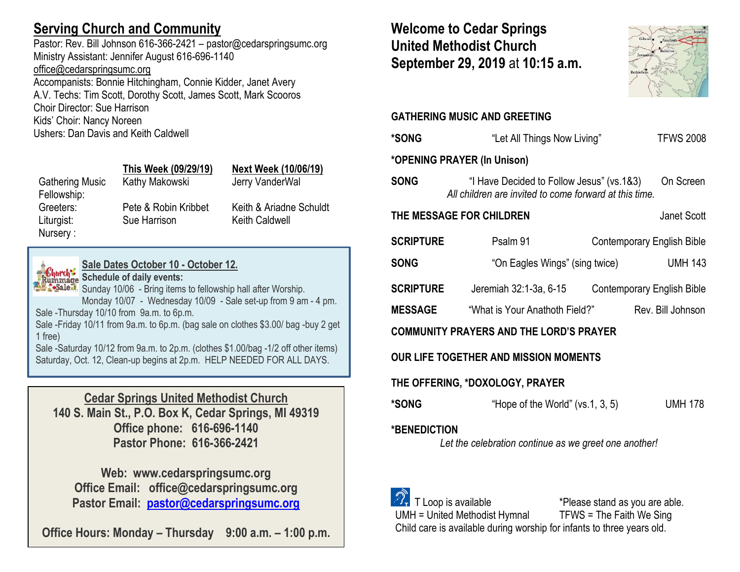# **Serving Church and Community**

Pastor: Rev. Bill Johnson 616-366-2421 – pastor@cedarspringsumc.org Ministry Assistant: Jennifer August 616-696-1140 [office@cedarspringsumc.org](mailto:office@cedarspringsumc.org)

Accompanists: Bonnie Hitchingham, Connie Kidder, Janet Avery A.V. Techs: Tim Scott, Dorothy Scott, James Scott, Mark Scooros Choir Director: Sue Harrison Kids' Choir: Nancy Noreen Ushers: Dan Davis and Keith Caldwell

|                        | This Week (09/29/19) | <b>Next Week (10/06/19)</b> |
|------------------------|----------------------|-----------------------------|
| <b>Gathering Music</b> | Kathy Makowski       | Jerry VanderWal             |
| Fellowship:            |                      |                             |
| Greeters:              | Pete & Robin Kribbet | Keith & Ariadne Schuldt     |
| Liturgist:             | Sue Harrison         | <b>Keith Caldwell</b>       |
| Nursery:               |                      |                             |



# **Sale Dates October 10 - October 12.**

**Shurch: Schedule of daily events:** 

Sunday 10/06 - Bring items to fellowship hall after Worship. Monday 10/07 - Wednesday 10/09 - Sale set-up from 9 am - 4 pm. Sale -Thursday 10/10 from 9a.m. to 6p.m.

Sale -Friday 10/11 from 9a.m. to 6p.m. (bag sale on clothes \$3.00/ bag -buy 2 get 1 free)

Sale -Saturday 10/12 from 9a.m. to 2p.m. (clothes \$1.00/bag -1/2 off other items) Saturday, Oct. 12, Clean-up begins at 2p.m. HELP NEEDED FOR ALL DAYS.

**Cedar Springs United Methodist Church 140 S. Main St., P.O. Box K, Cedar Springs, MI 49319 Office phone: 616-696-1140 Pastor Phone: 616-366-2421**

**Web: www.cedarspringsumc.org Office Email: office@cedarspringsumc.org Pastor Email: [pastor@cedarspringsumc.org](mailto:pastor@cedarspringsumc.org)**

**Office Hours: Monday – Thursday 9:00 a.m. – 1:00 p.m.**

## **Welcome to Cedar Springs United Methodist Church September 29, 2019** at **10:15 a.m.**



## **GATHERING MUSIC AND GREETING**

| <b>*SONG</b>                                                                 | "Let All Things Now Living"                                                                         | <b>TFWS 2008</b>                  |  |  |
|------------------------------------------------------------------------------|-----------------------------------------------------------------------------------------------------|-----------------------------------|--|--|
| *OPENING PRAYER (In Unison)                                                  |                                                                                                     |                                   |  |  |
| <b>SONG</b>                                                                  | "I Have Decided to Follow Jesus" (vs.1&3)<br>All children are invited to come forward at this time. | On Screen                         |  |  |
| THE MESSAGE FOR CHILDREN                                                     | Janet Scott                                                                                         |                                   |  |  |
| <b>SCRIPTURE</b>                                                             | Psalm 91                                                                                            | <b>Contemporary English Bible</b> |  |  |
| <b>SONG</b>                                                                  | "On Eagles Wings" (sing twice)                                                                      | <b>UMH 143</b>                    |  |  |
| <b>SCRIPTURE</b>                                                             | Jeremiah 32:1-3a, 6-15                                                                              | <b>Contemporary English Bible</b> |  |  |
| <b>MESSAGE</b>                                                               | "What is Your Anathoth Field?"                                                                      | Rev. Bill Johnson                 |  |  |
| <b>COMMUNITY PRAYERS AND THE LORD'S PRAYER</b>                               |                                                                                                     |                                   |  |  |
| OUR LIFE TOGETHER AND MISSION MOMENTS                                        |                                                                                                     |                                   |  |  |
| THE OFFERING, *DOXOLOGY, PRAYER                                              |                                                                                                     |                                   |  |  |
| *SONG                                                                        | "Hope of the World" $(vs.1, 3, 5)$                                                                  | <b>UMH 178</b>                    |  |  |
| <b>*BENEDICTION</b><br>Let the celebration continue as we greet one another! |                                                                                                     |                                   |  |  |
|                                                                              | the contract of the contract of the contract of the contract of the contract of                     |                                   |  |  |

 T Loop is available \*Please stand as you are able. UMH = United Methodist Hymnal TFWS = The Faith We Sing Child care is available during worship for infants to three years old.